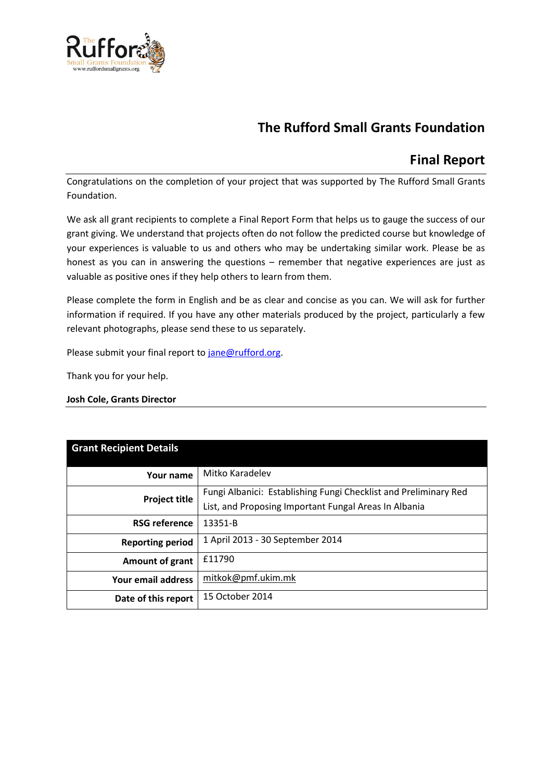

# **The Rufford Small Grants Foundation**

# **Final Report**

Congratulations on the completion of your project that was supported by The Rufford Small Grants Foundation.

We ask all grant recipients to complete a Final Report Form that helps us to gauge the success of our grant giving. We understand that projects often do not follow the predicted course but knowledge of your experiences is valuable to us and others who may be undertaking similar work. Please be as honest as you can in answering the questions – remember that negative experiences are just as valuable as positive ones if they help others to learn from them.

Please complete the form in English and be as clear and concise as you can. We will ask for further information if required. If you have any other materials produced by the project, particularly a few relevant photographs, please send these to us separately.

Please submit your final report to [jane@rufford.org.](mailto:jane@rufford.org)

Thank you for your help.

**Josh Cole, Grants Director**

| <b>Grant Recipient Details</b> |                                                                  |  |  |  |  |
|--------------------------------|------------------------------------------------------------------|--|--|--|--|
| Your name                      | Mitko Karadelev                                                  |  |  |  |  |
| <b>Project title</b>           | Fungi Albanici: Establishing Fungi Checklist and Preliminary Red |  |  |  |  |
|                                | List, and Proposing Important Fungal Areas In Albania            |  |  |  |  |
| <b>RSG reference</b>           | 13351-B                                                          |  |  |  |  |
| <b>Reporting period</b>        | 1 April 2013 - 30 September 2014                                 |  |  |  |  |
| <b>Amount of grant</b>         | £11790                                                           |  |  |  |  |
| Your email address             | mitkok@pmf.ukim.mk                                               |  |  |  |  |
| Date of this report            | 15 October 2014                                                  |  |  |  |  |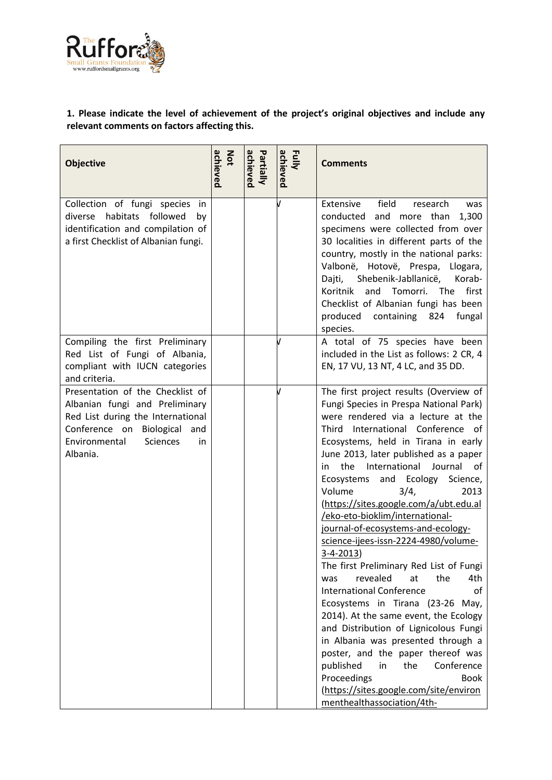

# **1. Please indicate the level of achievement of the project's original objectives and include any relevant comments on factors affecting this.**

| <b>Objective</b>                                                                                                                                                                       | achieved<br>Not | achieved<br>Partially | Fully<br>achieved | <b>Comments</b>                                                                                                                                                                                                                                                                                                                                                                                                                                                                                                                                                                                                                                                                                                                                                                                                                                                                                                                                                                                            |
|----------------------------------------------------------------------------------------------------------------------------------------------------------------------------------------|-----------------|-----------------------|-------------------|------------------------------------------------------------------------------------------------------------------------------------------------------------------------------------------------------------------------------------------------------------------------------------------------------------------------------------------------------------------------------------------------------------------------------------------------------------------------------------------------------------------------------------------------------------------------------------------------------------------------------------------------------------------------------------------------------------------------------------------------------------------------------------------------------------------------------------------------------------------------------------------------------------------------------------------------------------------------------------------------------------|
| Collection of fungi species in<br>diverse habitats followed<br>by<br>identification and compilation of<br>a first Checklist of Albanian fungi.                                         |                 |                       |                   | field<br>Extensive<br>research<br>was<br>conducted and more than<br>1,300<br>specimens were collected from over<br>30 localities in different parts of the<br>country, mostly in the national parks:<br>Valbonë, Hotovë, Prespa, Llogara,<br>Shebenik-Jabllanicë,<br>Korab-<br>Dajti,<br>Koritnik<br>and<br>Tomorri. The<br>first<br>Checklist of Albanian fungi has been<br>produced<br>containing 824 fungal<br>species.                                                                                                                                                                                                                                                                                                                                                                                                                                                                                                                                                                                 |
| Compiling the first Preliminary<br>Red List of Fungi of Albania,<br>compliant with IUCN categories<br>and criteria.                                                                    |                 |                       |                   | A total of 75 species have been<br>included in the List as follows: 2 CR, 4<br>EN, 17 VU, 13 NT, 4 LC, and 35 DD.                                                                                                                                                                                                                                                                                                                                                                                                                                                                                                                                                                                                                                                                                                                                                                                                                                                                                          |
| Presentation of the Checklist of<br>Albanian fungi and Preliminary<br>Red List during the International<br>Conference on Biological and<br>Environmental<br>Sciences<br>in<br>Albania. |                 |                       |                   | The first project results (Overview of<br>Fungi Species in Prespa National Park)<br>were rendered via a lecture at the<br>Third International Conference of<br>Ecosystems, held in Tirana in early<br>June 2013, later published as a paper<br>Journal<br>the International<br>in<br>of<br>Ecosystems and Ecology<br>Science,<br>Volume<br>3/4,<br>2013<br>(https://sites.google.com/a/ubt.edu.al<br>/eko-eto-bioklim/international-<br>journal-of-ecosystems-and-ecology-<br>science-ijees-issn-2224-4980/volume-<br>$3-4-2013$<br>The first Preliminary Red List of Fungi<br>revealed<br>at<br>the<br>4th<br>was<br><b>International Conference</b><br>οf<br>Ecosystems in Tirana (23-26 May,<br>2014). At the same event, the Ecology<br>and Distribution of Lignicolous Fungi<br>in Albania was presented through a<br>poster, and the paper thereof was<br>published<br>the<br>Conference<br>in<br>Proceedings<br><b>Book</b><br>(https://sites.google.com/site/environ<br>menthealthassociation/4th- |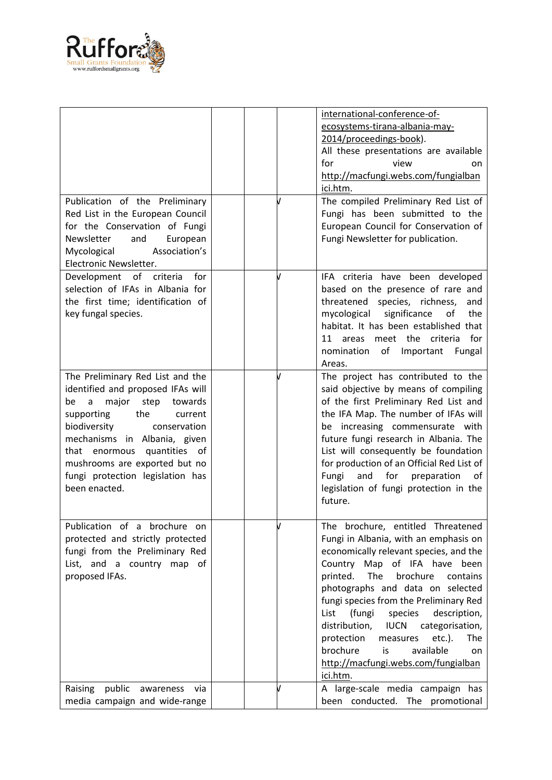

|                                                                                                                                                                                                                                                                                                                                         |  | international-conference-of-<br>ecosystems-tirana-albania-may-<br>2014/proceedings-book).<br>All these presentations are available<br>for<br>view<br>on.<br>http://macfungi.webs.com/fungialban<br>ici.htm.                                                                                                                                                                                                                                                                                                            |
|-----------------------------------------------------------------------------------------------------------------------------------------------------------------------------------------------------------------------------------------------------------------------------------------------------------------------------------------|--|------------------------------------------------------------------------------------------------------------------------------------------------------------------------------------------------------------------------------------------------------------------------------------------------------------------------------------------------------------------------------------------------------------------------------------------------------------------------------------------------------------------------|
| Publication of the Preliminary<br>Red List in the European Council<br>for the Conservation of Fungi<br>Newsletter<br>and<br>European<br>Association's<br>Mycological<br>Electronic Newsletter.                                                                                                                                          |  | The compiled Preliminary Red List of<br>Fungi has been submitted to the<br>European Council for Conservation of<br>Fungi Newsletter for publication.                                                                                                                                                                                                                                                                                                                                                                   |
| for<br>Development of criteria<br>selection of IFAs in Albania for<br>the first time; identification of<br>key fungal species.                                                                                                                                                                                                          |  | IFA criteria have been developed<br>based on the presence of rare and<br>threatened species, richness,<br>and<br>significance<br>the<br>mycological<br>of<br>habitat. It has been established that<br>for<br>meet the criteria<br>11 areas<br>nomination<br>of<br>Important<br>Fungal<br>Areas.                                                                                                                                                                                                                        |
| The Preliminary Red List and the<br>identified and proposed IFAs will<br>step<br>be<br>major<br>towards<br>a<br>supporting<br>the<br>current<br>biodiversity<br>conservation<br>mechanisms in Albania, given<br>quantities of<br>that<br>enormous<br>mushrooms are exported but no<br>fungi protection legislation has<br>been enacted. |  | The project has contributed to the<br>said objective by means of compiling<br>of the first Preliminary Red List and<br>the IFA Map. The number of IFAs will<br>be increasing commensurate with<br>future fungi research in Albania. The<br>List will consequently be foundation<br>for production of an Official Red List of<br>for preparation<br>Fungi<br>and<br>0f<br>legislation of fungi protection in the<br>future.                                                                                             |
| Publication of a brochure on<br>protected and strictly protected<br>fungi from the Preliminary Red<br>List, and a country map of<br>proposed IFAs.                                                                                                                                                                                      |  | The brochure, entitled Threatened<br>Fungi in Albania, with an emphasis on<br>economically relevant species, and the<br>Country Map of IFA have<br>been<br>The<br>printed.<br>brochure<br>contains<br>photographs and data on selected<br>fungi species from the Preliminary Red<br>description,<br>List<br>(fungi<br>species<br>distribution,<br><b>IUCN</b><br>categorisation,<br>protection<br>$etc.$ ).<br>The<br>measures<br>brochure<br>available<br>is<br>on<br>http://macfungi.webs.com/fungialban<br>ici.htm. |
| public<br>Raising<br>awareness<br>via<br>media campaign and wide-range                                                                                                                                                                                                                                                                  |  | A large-scale media campaign has<br>been conducted. The promotional                                                                                                                                                                                                                                                                                                                                                                                                                                                    |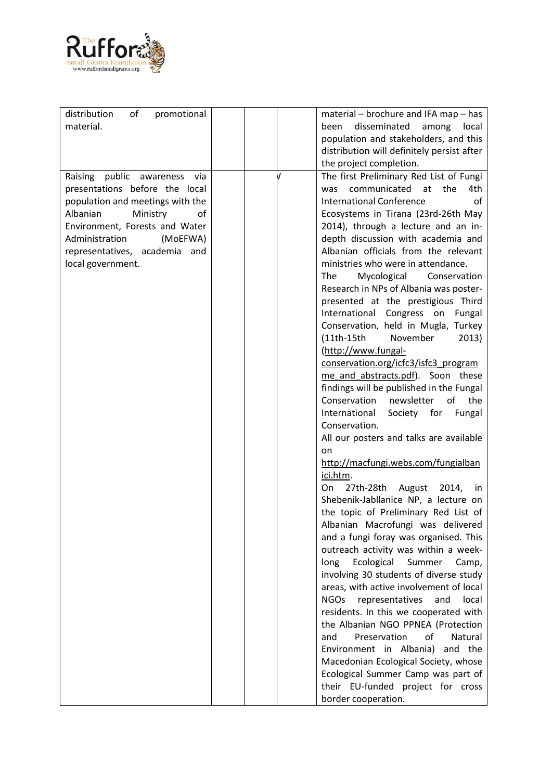

| distribution<br>of<br>promotional |  | material – brochure and IFA map – has          |
|-----------------------------------|--|------------------------------------------------|
| material.                         |  | disseminated among<br>been<br>local            |
|                                   |  | population and stakeholders, and this          |
|                                   |  | distribution will definitely persist after     |
|                                   |  | the project completion.                        |
|                                   |  |                                                |
| Raising public awareness<br>via   |  | The first Preliminary Red List of Fungi        |
| presentations before the local    |  | communicated at the<br>4th<br>was              |
| population and meetings with the  |  | <b>International Conference</b><br>οf          |
| Ministry<br>Albanian<br>οf        |  | Ecosystems in Tirana (23rd-26th May            |
| Environment, Forests and Water    |  | 2014), through a lecture and an in-            |
| (MoEFWA)<br>Administration        |  | depth discussion with academia and             |
| representatives, academia<br>and  |  | Albanian officials from the relevant           |
| local government.                 |  | ministries who were in attendance.             |
|                                   |  | The<br>Mycological<br>Conservation             |
|                                   |  | Research in NPs of Albania was poster-         |
|                                   |  | presented at the prestigious Third             |
|                                   |  | Congress on<br>International<br>Fungal         |
|                                   |  | Conservation, held in Mugla, Turkey            |
|                                   |  | November<br>$(11th-15th$<br>2013)              |
|                                   |  | (http://www.fungal-                            |
|                                   |  | conservation.org/icfc3/isfc3_program           |
|                                   |  | me and abstracts.pdf). Soon these              |
|                                   |  | findings will be published in the Fungal       |
|                                   |  | Conservation<br>newsletter<br>of<br>the        |
|                                   |  |                                                |
|                                   |  | Society for<br>International<br>Fungal         |
|                                   |  | Conservation.                                  |
|                                   |  | All our posters and talks are available<br>on  |
|                                   |  | http://macfungi.webs.com/fungialban            |
|                                   |  | ici.htm.                                       |
|                                   |  | 27th-28th August 2014,<br>On<br>in.            |
|                                   |  | Shebenik-Jabllanice NP, a lecture on           |
|                                   |  | the topic of Preliminary Red List of           |
|                                   |  | Albanian Macrofungi was delivered              |
|                                   |  | and a fungi foray was organised. This          |
|                                   |  | outreach activity was within a week-           |
|                                   |  | long<br>Ecological<br>Summer<br>Camp,          |
|                                   |  |                                                |
|                                   |  | involving 30 students of diverse study         |
|                                   |  | areas, with active involvement of local        |
|                                   |  | <b>NGOs</b><br>representatives<br>local<br>and |
|                                   |  | residents. In this we cooperated with          |
|                                   |  | the Albanian NGO PPNEA (Protection             |
|                                   |  | Preservation<br>of<br>Natural<br>and           |
|                                   |  | Environment in Albania)<br>and the             |
|                                   |  | Macedonian Ecological Society, whose           |
|                                   |  | Ecological Summer Camp was part of             |
|                                   |  | their EU-funded project for cross              |
|                                   |  | border cooperation.                            |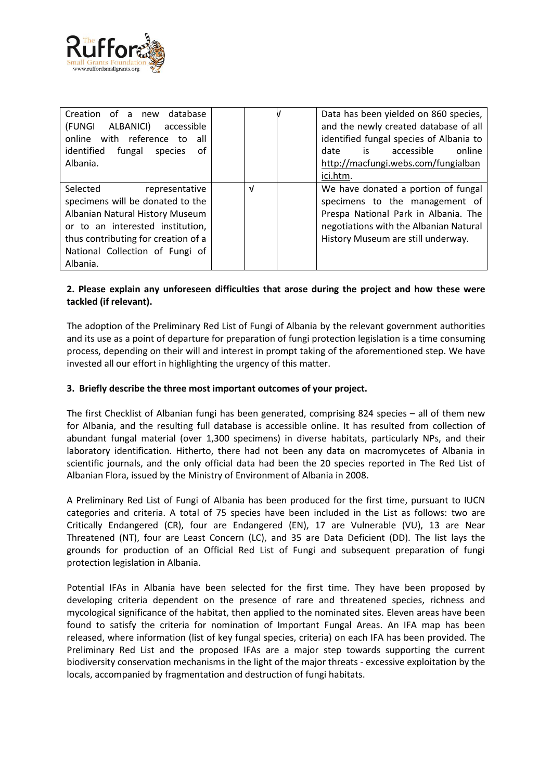

| Creation<br>of a new<br>database<br>(FUNGI<br>ALBANICI)<br>accessible<br>online with reference to<br>all<br>identified<br>fungal<br>0f<br>species<br>Albania.                                                               |   | Data has been yielded on 860 species,<br>and the newly created database of all<br>identified fungal species of Albania to<br>accessible<br>is<br>date<br>online<br>http://macfungi.webs.com/fungialban<br>ici.htm. |
|-----------------------------------------------------------------------------------------------------------------------------------------------------------------------------------------------------------------------------|---|--------------------------------------------------------------------------------------------------------------------------------------------------------------------------------------------------------------------|
| Selected<br>representative<br>specimens will be donated to the<br>Albanian Natural History Museum<br>or to an interested institution,<br>thus contributing for creation of a<br>National Collection of Fungi of<br>Albania. | V | We have donated a portion of fungal<br>specimens to the management of<br>Prespa National Park in Albania. The<br>negotiations with the Albanian Natural<br>History Museum are still underway.                      |

# **2. Please explain any unforeseen difficulties that arose during the project and how these were tackled (if relevant).**

The adoption of the Preliminary Red List of Fungi of Albania by the relevant government authorities and its use as a point of departure for preparation of fungi protection legislation is a time consuming process, depending on their will and interest in prompt taking of the aforementioned step. We have invested all our effort in highlighting the urgency of this matter.

#### **3. Briefly describe the three most important outcomes of your project.**

The first Checklist of Albanian fungi has been generated, comprising 824 species – all of them new for Albania, and the resulting full database is accessible online. It has resulted from collection of abundant fungal material (over 1,300 specimens) in diverse habitats, particularly NPs, and their laboratory identification. Hitherto, there had not been any data on macromycetes of Albania in scientific journals, and the only official data had been the 20 species reported in The Red List of Albanian Flora, issued by the Ministry of Environment of Albania in 2008.

A Preliminary Red List of Fungi of Albania has been produced for the first time, pursuant to IUCN categories and criteria. A total of 75 species have been included in the List as follows: two are Critically Endangered (CR), four are Endangered (EN), 17 are Vulnerable (VU), 13 are Near Threatened (NT), four are Least Concern (LC), and 35 are Data Deficient (DD). The list lays the grounds for production of an Official Red List of Fungi and subsequent preparation of fungi protection legislation in Albania.

Potential IFAs in Albania have been selected for the first time. They have been proposed by developing criteria dependent on the presence of rare and threatened species, richness and mycological significance of the habitat, then applied to the nominated sites. Eleven areas have been found to satisfy the criteria for nomination of Important Fungal Areas. An IFA map has been released, where information (list of key fungal species, criteria) on each IFA has been provided. The Preliminary Red List and the proposed IFAs are a major step towards supporting the current biodiversity conservation mechanisms in the light of the major threats - excessive exploitation by the locals, accompanied by fragmentation and destruction of fungi habitats.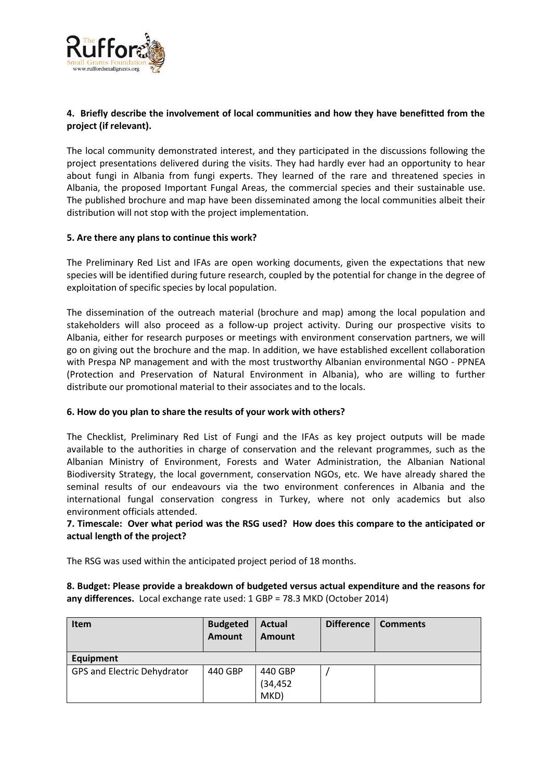

# **4. Briefly describe the involvement of local communities and how they have benefitted from the project (if relevant).**

The local community demonstrated interest, and they participated in the discussions following the project presentations delivered during the visits. They had hardly ever had an opportunity to hear about fungi in Albania from fungi experts. They learned of the rare and threatened species in Albania, the proposed Important Fungal Areas, the commercial species and their sustainable use. The published brochure and map have been disseminated among the local communities albeit their distribution will not stop with the project implementation.

#### **5. Are there any plans to continue this work?**

The Preliminary Red List and IFAs are open working documents, given the expectations that new species will be identified during future research, coupled by the potential for change in the degree of exploitation of specific species by local population.

The dissemination of the outreach material (brochure and map) among the local population and stakeholders will also proceed as a follow-up project activity. During our prospective visits to Albania, either for research purposes or meetings with environment conservation partners, we will go on giving out the brochure and the map. In addition, we have established excellent collaboration with Prespa NP management and with the most trustworthy Albanian environmental NGO - PPNEA (Protection and Preservation of Natural Environment in Albania), who are willing to further distribute our promotional material to their associates and to the locals.

# **6. How do you plan to share the results of your work with others?**

The Checklist, Preliminary Red List of Fungi and the IFAs as key project outputs will be made available to the authorities in charge of conservation and the relevant programmes, such as the Albanian Ministry of Environment, Forests and Water Administration, the Albanian National Biodiversity Strategy, the local government, conservation NGOs, etc. We have already shared the seminal results of our endeavours via the two environment conferences in Albania and the international fungal conservation congress in Turkey, where not only academics but also environment officials attended.

#### **7. Timescale: Over what period was the RSG used? How does this compare to the anticipated or actual length of the project?**

The RSG was used within the anticipated project period of 18 months.

**8. Budget: Please provide a breakdown of budgeted versus actual expenditure and the reasons for any differences.** Local exchange rate used: 1 GBP = 78.3 MKD (October 2014)

| <b>Item</b>                 | <b>Budgeted</b><br>Amount | <b>Actual</b><br>Amount | <b>Difference</b> | <b>Comments</b> |
|-----------------------------|---------------------------|-------------------------|-------------------|-----------------|
| Equipment                   |                           |                         |                   |                 |
| GPS and Electric Dehydrator | 440 GBP                   | 440 GBP                 |                   |                 |
|                             |                           | (34, 452)               |                   |                 |
|                             |                           | MKD)                    |                   |                 |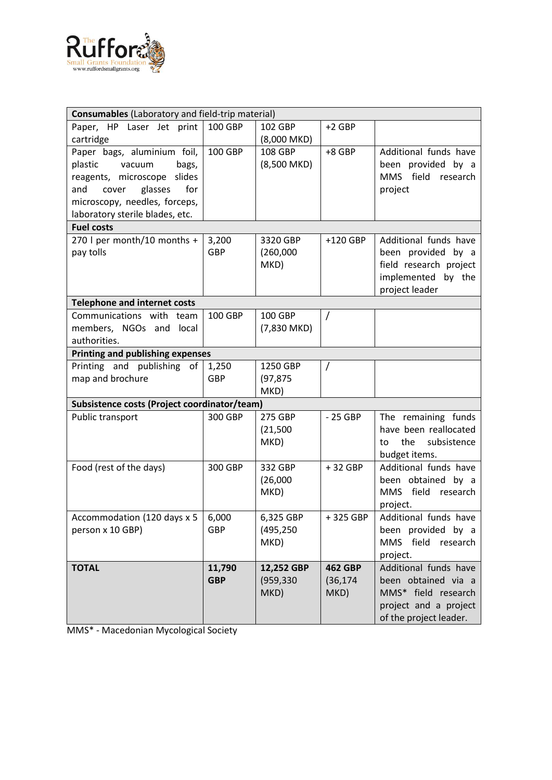

| Consumables (Laboratory and field-trip material) |            |               |                |                          |  |  |
|--------------------------------------------------|------------|---------------|----------------|--------------------------|--|--|
| Paper, HP Laser Jet print                        | 100 GBP    | 102 GBP       | $+2$ GBP       |                          |  |  |
| cartridge                                        |            | $(8,000$ MKD) |                |                          |  |  |
| Paper bags, aluminium foil,                      | 100 GBP    | 108 GBP       | $+8$ GBP       | Additional funds have    |  |  |
| plastic<br>vacuum<br>bags,                       |            | (8,500 MKD)   |                | been provided by a       |  |  |
| reagents, microscope slides                      |            |               |                | MMS field research       |  |  |
| glasses<br>for<br>and<br>cover                   |            |               |                | project                  |  |  |
| microscopy, needles, forceps,                    |            |               |                |                          |  |  |
| laboratory sterile blades, etc.                  |            |               |                |                          |  |  |
| <b>Fuel costs</b>                                |            |               |                |                          |  |  |
| 270 I per month/10 months +                      | 3,200      | 3320 GBP      | $+120$ GBP     | Additional funds have    |  |  |
| pay tolls                                        | <b>GBP</b> | (260,000)     |                | been provided by a       |  |  |
|                                                  |            | MKD)          |                | field research project   |  |  |
|                                                  |            |               |                | implemented by the       |  |  |
|                                                  |            |               |                | project leader           |  |  |
| <b>Telephone and internet costs</b>              |            |               |                |                          |  |  |
| Communications with team                         | 100 GBP    | 100 GBP       | $\prime$       |                          |  |  |
| members, NGOs and local                          |            | (7,830 MKD)   |                |                          |  |  |
| authorities.                                     |            |               |                |                          |  |  |
| <b>Printing and publishing expenses</b>          |            |               |                |                          |  |  |
| Printing and publishing of                       | 1,250      | 1250 GBP      | $\prime$       |                          |  |  |
| map and brochure                                 | <b>GBP</b> | (97, 875)     |                |                          |  |  |
|                                                  |            | MKD)          |                |                          |  |  |
| Subsistence costs (Project coordinator/team)     |            |               |                |                          |  |  |
| Public transport                                 | 300 GBP    | 275 GBP       | $-25$ GBP      | The remaining funds      |  |  |
|                                                  |            | (21, 500)     |                | have been reallocated    |  |  |
|                                                  |            | MKD)          |                | the<br>subsistence<br>to |  |  |
|                                                  |            |               |                | budget items.            |  |  |
| Food (rest of the days)                          | 300 GBP    | 332 GBP       | +32 GBP        | Additional funds have    |  |  |
|                                                  |            | (26,000)      |                | been obtained by a       |  |  |
|                                                  |            | MKD)          |                | MMS field research       |  |  |
|                                                  |            |               |                | project.                 |  |  |
| Accommodation (120 days x 5                      | 6,000      | 6,325 GBP     | +325 GBP       | Additional funds have    |  |  |
| person x 10 GBP)                                 | <b>GBP</b> | (495, 250)    |                | been provided by a       |  |  |
|                                                  |            | MKD)          |                | MMS field research       |  |  |
|                                                  |            |               |                | project.                 |  |  |
| <b>TOTAL</b>                                     | 11,790     | 12,252 GBP    | <b>462 GBP</b> | Additional funds have    |  |  |
|                                                  | <b>GBP</b> | (959, 330)    | (36, 174)      | been obtained via a      |  |  |
|                                                  |            | MKD)          | MKD)           | MMS* field research      |  |  |
|                                                  |            |               |                | project and a project    |  |  |
|                                                  |            |               |                | of the project leader.   |  |  |

MMS\* - Macedonian Mycological Society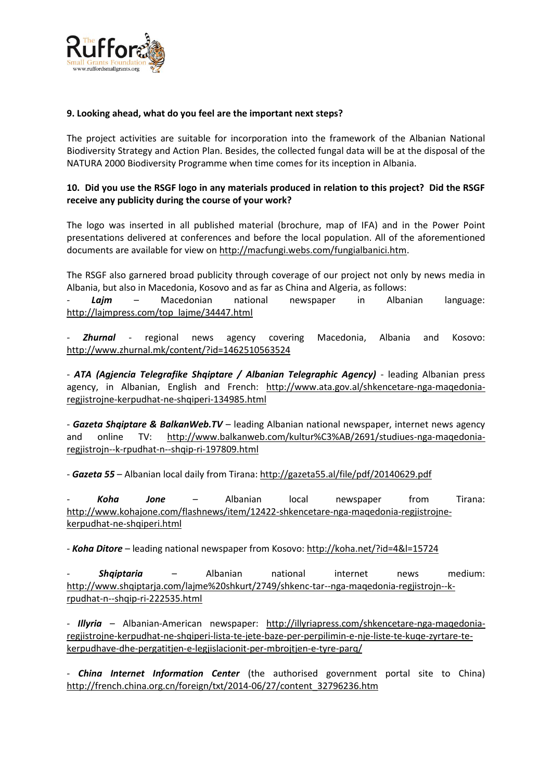

#### **9. Looking ahead, what do you feel are the important next steps?**

The project activities are suitable for incorporation into the framework of the Albanian National Biodiversity Strategy and Action Plan. Besides, the collected fungal data will be at the disposal of the NATURA 2000 Biodiversity Programme when time comes for its inception in Albania.

# **10. Did you use the RSGF logo in any materials produced in relation to this project? Did the RSGF receive any publicity during the course of your work?**

The logo was inserted in all published material (brochure, map of IFA) and in the Power Point presentations delivered at conferences and before the local population. All of the aforementioned documents are available for view on [http://macfungi.webs.com/fungialbanici.htm.](http://macfungi.webs.com/fungialbanici.htm)

The RSGF also garnered broad publicity through coverage of our project not only by news media in Albania, but also in Macedonia, Kosovo and as far as China and Algeria, as follows:

*- Lajm* – Macedonian national newspaper in Albanian language: [http://lajmpress.com/top\\_lajme/34447.html](http://lajmpress.com/top_lajme/34447.html)

*- Zhurnal* - regional news agency covering Macedonia, Albania and Kosovo: <http://www.zhurnal.mk/content/?id=1462510563524>

*- ATA (Agjencia Telegrafike Shqiptare / Albanian Telegraphic Agency)* - leading Albanian press agency, in Albanian, English and French: [http://www.ata.gov.al/shkencetare-nga-maqedonia](http://www.ata.gov.al/shkencetare-nga-maqedonia-regjistrojne-kerpudhat-ne-shqiperi-134985.html)[regjistrojne-kerpudhat-ne-shqiperi-134985.html](http://www.ata.gov.al/shkencetare-nga-maqedonia-regjistrojne-kerpudhat-ne-shqiperi-134985.html)

*- Gazeta Shqiptare & BalkanWeb.TV* – leading Albanian national newspaper, internet news agency and online TV: [http://www.balkanweb.com/kultur%C3%AB/2691/studiues-nga-maqedonia](http://www.balkanweb.com/kultur%C3%AB/2691/studiues-nga-maqedonia-regjistrojn--k-rpudhat-n--shqip-ri-197809.html)[regjistrojn--k-rpudhat-n--shqip-ri-197809.html](http://www.balkanweb.com/kultur%C3%AB/2691/studiues-nga-maqedonia-regjistrojn--k-rpudhat-n--shqip-ri-197809.html)

*- Gazeta 55* – Albanian local daily from Tirana: <http://gazeta55.al/file/pdf/20140629.pdf>

*- Koha Jone* – Albanian local newspaper from Tirana: [http://www.kohajone.com/flashnews/item/12422-shkencetare-nga-maqedonia-regjistrojne](http://www.kohajone.com/flashnews/item/12422-shkencetare-nga-maqedonia-regjistrojne-kerpudhat-ne-shqiperi.html)[kerpudhat-ne-shqiperi.html](http://www.kohajone.com/flashnews/item/12422-shkencetare-nga-maqedonia-regjistrojne-kerpudhat-ne-shqiperi.html)

*- Koha Ditore* – leading national newspaper from Kosovo:<http://koha.net/?id=4&l=15724>

*- Shqiptaria* – Albanian national internet news medium: [http://www.shqiptarja.com/lajme%20shkurt/2749/shkenc-tar--nga-maqedonia-regjistrojn--k](http://www.shqiptarja.com/lajme%20shkurt/2749/shkenc-tar--nga-maqedonia-regjistrojn--k-rpudhat-n--shqip-ri-222535.html)[rpudhat-n--shqip-ri-222535.html](http://www.shqiptarja.com/lajme%20shkurt/2749/shkenc-tar--nga-maqedonia-regjistrojn--k-rpudhat-n--shqip-ri-222535.html)

*- Illyria* – Albanian-American newspaper: [http://illyriapress.com/shkencetare-nga-maqedonia](http://illyriapress.com/shkencetare-nga-maqedonia-regjistrojne-kerpudhat-ne-shqiperi-lista-te-jete-baze-per-perpilimin-e-nje-liste-te-kuqe-zyrtare-te-kerpudhave-dhe-pergatitjen-e-legjislacionit-per-mbrojtjen-e-tyre-parq/)[regjistrojne-kerpudhat-ne-shqiperi-lista-te-jete-baze-per-perpilimin-e-nje-liste-te-kuqe-zyrtare-te](http://illyriapress.com/shkencetare-nga-maqedonia-regjistrojne-kerpudhat-ne-shqiperi-lista-te-jete-baze-per-perpilimin-e-nje-liste-te-kuqe-zyrtare-te-kerpudhave-dhe-pergatitjen-e-legjislacionit-per-mbrojtjen-e-tyre-parq/)[kerpudhave-dhe-pergatitjen-e-legjislacionit-per-mbrojtjen-e-tyre-parq/](http://illyriapress.com/shkencetare-nga-maqedonia-regjistrojne-kerpudhat-ne-shqiperi-lista-te-jete-baze-per-perpilimin-e-nje-liste-te-kuqe-zyrtare-te-kerpudhave-dhe-pergatitjen-e-legjislacionit-per-mbrojtjen-e-tyre-parq/)

*- China Internet Information Center* (the authorised government portal site to China) [http://french.china.org.cn/foreign/txt/2014-06/27/content\\_32796236.htm](http://french.china.org.cn/foreign/txt/2014-06/27/content_32796236.htm)